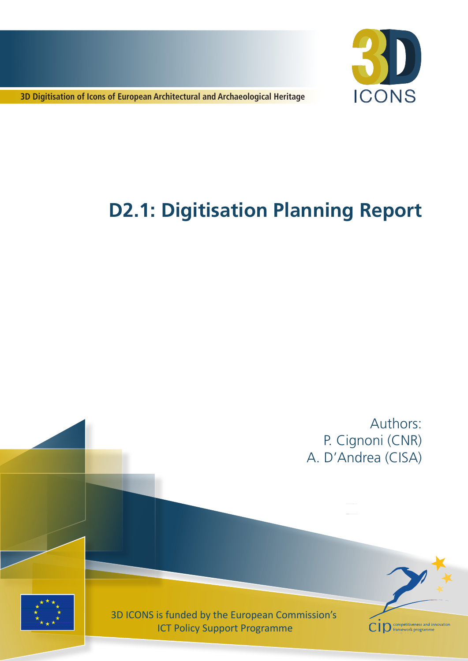

**3D Digitisation of Icons of European Architectural and Archaeological Heritage**

# **D2.1: Digitisation Planning Report**

Authors: P. Cignoni (CNR) A. D'Andrea (CISA)



3D ICONS is funded by the European Commission's ICT Policy Support Programme

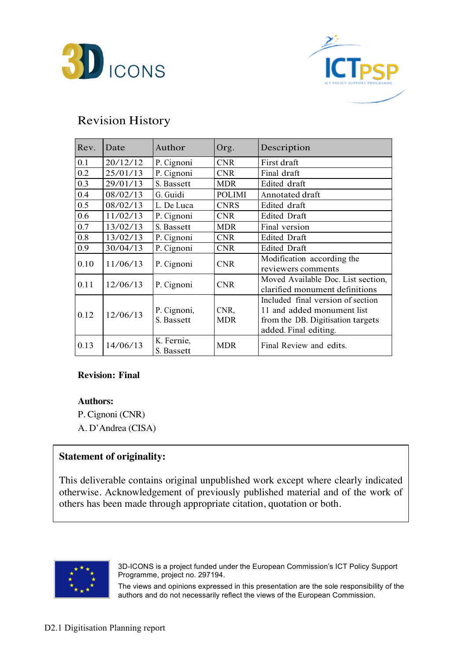



## Revision History

| Rev. | Date     | Author                    | Org.               | Description                                                                                                                   |
|------|----------|---------------------------|--------------------|-------------------------------------------------------------------------------------------------------------------------------|
| 0.1  | 20/12/12 | P. Cignoni                | <b>CNR</b>         | First draft                                                                                                                   |
| 0.2  | 25/01/13 | P. Cignoni                | <b>CNR</b>         | Final draft                                                                                                                   |
| 0.3  | 29/01/13 | S. Bassett                | <b>MDR</b>         | Edited draft                                                                                                                  |
| 0.4  | 08/02/13 | G. Guidi                  | <b>POLIMI</b>      | Annotated draft                                                                                                               |
| 0.5  | 08/02/13 | L. De Luca                | <b>CNRS</b>        | Edited draft                                                                                                                  |
| 0.6  | 11/02/13 | P. Cignoni                | <b>CNR</b>         | <b>Edited Draft</b>                                                                                                           |
| 0.7  | 13/02/13 | S. Bassett                | <b>MDR</b>         | Final version                                                                                                                 |
| 0.8  | 13/02/13 | P. Cignoni                | <b>CNR</b>         | <b>Edited Draft</b>                                                                                                           |
| 0.9  | 30/04/13 | P. Cignoni                | <b>CNR</b>         | Edited Draft                                                                                                                  |
| 0.10 | 11/06/13 | P. Cignoni                | <b>CNR</b>         | Modification according the<br>reviewers comments                                                                              |
| 0.11 | 12/06/13 | P. Cignoni                | <b>CNR</b>         | Moved Available Doc. List section,<br>clarified monument definitions                                                          |
| 0.12 | 12/06/13 | P. Cignoni,<br>S. Bassett | CNR,<br><b>MDR</b> | Included final version of section<br>11 and added monument list<br>from the DB. Digitisation targets<br>added. Final editing. |
| 0.13 | 14/06/13 | K. Fernie,<br>S. Bassett  | <b>MDR</b>         | Final Review and edits.                                                                                                       |

#### **Revision: Final**

**Authors:**

P. Cignoni (CNR) A. D'Andrea (CISA)

#### **Statement of originality:**

This deliverable contains original unpublished work except where clearly indicated otherwise. Acknowledgement of previously published material and of the work of others has been made through appropriate citation, quotation or both.



3D-ICONS is a project funded under the European Commission's ICT Policy Support Programme, project no. 297194.

The views and opinions expressed in this presentation are the sole responsibility of the authors and do not necessarily reflect the views of the European Commission.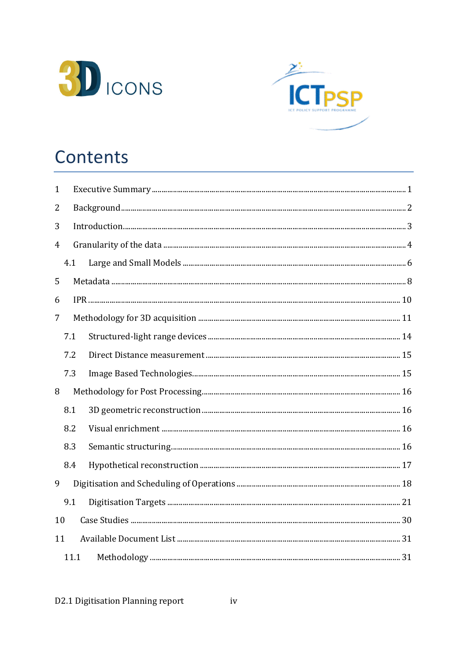



## Contents

| $\mathbf{1}$ |      |  |  |
|--------------|------|--|--|
| 2            |      |  |  |
| 3            |      |  |  |
| 4            |      |  |  |
|              | 4.1  |  |  |
| 5            |      |  |  |
| 6            |      |  |  |
| 7            |      |  |  |
|              | 7.1  |  |  |
|              | 7.2  |  |  |
|              | 7.3  |  |  |
| 8            |      |  |  |
|              | 8.1  |  |  |
|              | 8.2  |  |  |
|              | 8.3  |  |  |
|              | 8.4  |  |  |
| 9            |      |  |  |
|              | 9.1  |  |  |
| 10           |      |  |  |
| 11           |      |  |  |
|              | 11.1 |  |  |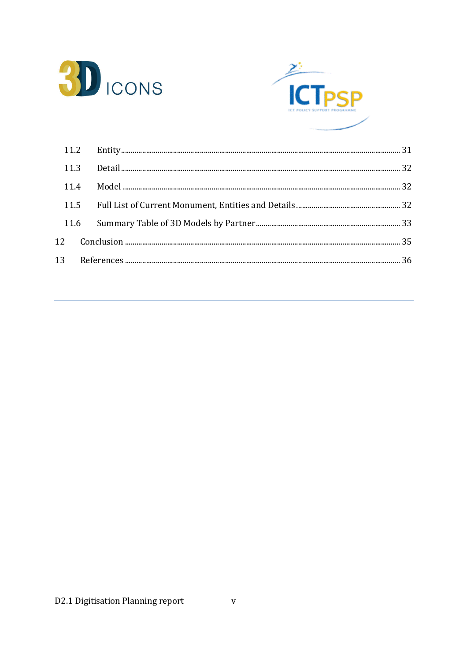



| 11.3 |  |  |
|------|--|--|
| 11.4 |  |  |
|      |  |  |
| 11.6 |  |  |
|      |  |  |
|      |  |  |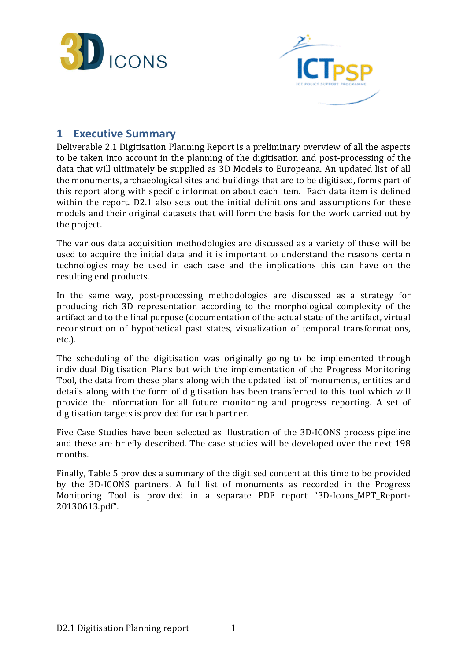



## 1 Executive Summary

Deliverable 2.1 Digitisation Planning Report is a preliminary overview of all the aspects to be taken into account in the planning of the digitisation and post-processing of the data that will ultimately be supplied as 3D Models to Europeana. An updated list of all the monuments, archaeological sites and buildings that are to be digitised, forms part of this report along with specific information about each item. Each data item is defined within the report. D2.1 also sets out the initial definitions and assumptions for these models and their original datasets that will form the basis for the work carried out by the project.

The various data acquisition methodologies are discussed as a variety of these will be used to acquire the initial data and it is important to understand the reasons certain technologies may be used in each case and the implications this can have on the resulting end products.

In the same way, post-processing methodologies are discussed as a strategy for producing rich 3D representation according to the morphological complexity of the artifact and to the final purpose (documentation of the actual state of the artifact, virtual reconstruction of hypothetical past states, visualization of temporal transformations, etc.).

The scheduling of the digitisation was originally going to be implemented through individual Digitisation Plans but with the implementation of the Progress Monitoring Tool, the data from these plans along with the updated list of monuments, entities and details along with the form of digitisation has been transferred to this tool which will provide the information for all future monitoring and progress reporting. A set of digitisation targets is provided for each partner.

Five Case Studies have been selected as illustration of the 3D-ICONS process pipeline and these are briefly described. The case studies will be developed over the next 198 months.

Finally, Table 5 provides a summary of the digitised content at this time to be provided by the 3D-ICONS partners. A full list of monuments as recorded in the Progress Monitoring Tool is provided in a separate PDF report "3D-Icons\_MPT\_Report-20130613.pdf".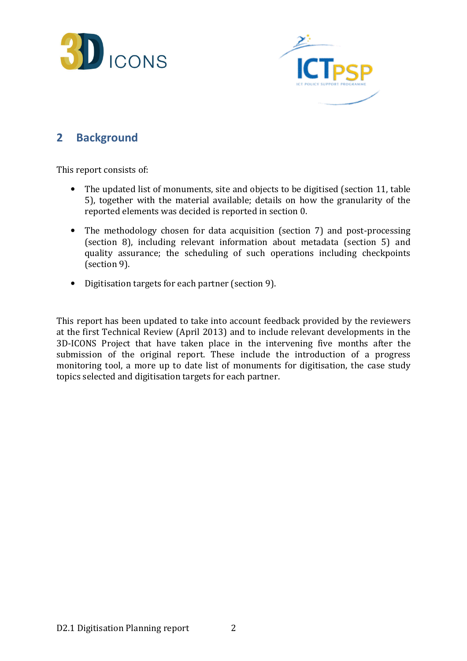



## 2 Background

This report consists of:

- The updated list of monuments, site and objects to be digitised (section 11, table 5), together with the material available; details on how the granularity of the reported elements was decided is reported in section 0.
- The methodology chosen for data acquisition (section 7) and post-processing (section 8), including relevant information about metadata (section 5) and quality assurance; the scheduling of such operations including checkpoints (section 9).
- Digitisation targets for each partner (section 9).

This report has been updated to take into account feedback provided by the reviewers at the first Technical Review (April 2013) and to include relevant developments in the 3D-ICONS Project that have taken place in the intervening five months after the submission of the original report. These include the introduction of a progress monitoring tool, a more up to date list of monuments for digitisation, the case study topics selected and digitisation targets for each partner.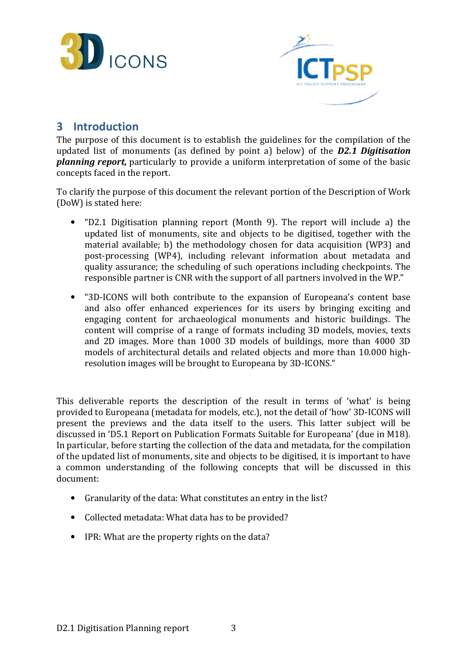



## 3 Introduction

The purpose of this document is to establish the guidelines for the compilation of the updated list of monuments (as defined by point a) below) of the  $D2.1$  Digitisation **planning report**, particularly to provide a uniform interpretation of some of the basic concepts faced in the report.

To clarify the purpose of this document the relevant portion of the Description of Work (DoW) is stated here:

- "D2.1 Digitisation planning report (Month 9). The report will include a) the updated list of monuments, site and objects to be digitised, together with the material available; b) the methodology chosen for data acquisition (WP3) and post-processing (WP4), including relevant information about metadata and quality assurance; the scheduling of such operations including checkpoints. The responsible partner is CNR with the support of all partners involved in the WP."
- "3D-ICONS will both contribute to the expansion of Europeana's content base and also offer enhanced experiences for its users by bringing exciting and engaging content for archaeological monuments and historic buildings. The content will comprise of a range of formats including 3D models, movies, texts and 2D images. More than 1000 3D models of buildings, more than 4000 3D models of architectural details and related objects and more than 10.000 highresolution images will be brought to Europeana by 3D-ICONS."

This deliverable reports the description of the result in terms of 'what' is being provided to Europeana (metadata for models, etc.), not the detail of 'how' 3D-ICONS will present the previews and the data itself to the users. This latter subject will be discussed in 'D5.1 Report on Publication Formats Suitable for Europeana' (due in M18). In particular, before starting the collection of the data and metadata, for the compilation of the updated list of monuments, site and objects to be digitised, it is important to have a common understanding of the following concepts that will be discussed in this document:

- Granularity of the data: What constitutes an entry in the list?
- Collected metadata: What data has to be provided?
- IPR: What are the property rights on the data?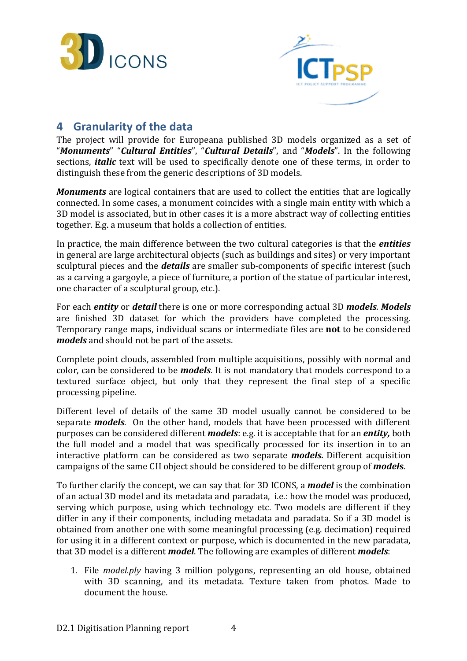



## 4 Granularity of the data

The project will provide for Europeana published 3D models organized as a set of "Monuments" "Cultural Entities", "Cultural Details", and "Models". In the following sections, *italic* text will be used to specifically denote one of these terms, in order to distinguish these from the generic descriptions of 3D models.

**Monuments** are logical containers that are used to collect the entities that are logically connected. In some cases, a monument coincides with a single main entity with which a 3D model is associated, but in other cases it is a more abstract way of collecting entities together. E.g. a museum that holds a collection of entities.

In practice, the main difference between the two cultural categories is that the *entities* in general are large architectural objects (such as buildings and sites) or very important sculptural pieces and the **details** are smaller sub-components of specific interest (such as a carving a gargoyle, a piece of furniture, a portion of the statue of particular interest, one character of a sculptural group, etc.).

For each entity or detail there is one or more corresponding actual 3D models. Models are finished 3D dataset for which the providers have completed the processing. Temporary range maps, individual scans or intermediate files are not to be considered models and should not be part of the assets.

Complete point clouds, assembled from multiple acquisitions, possibly with normal and color, can be considered to be **models**. It is not mandatory that models correspond to a textured surface object, but only that they represent the final step of a specific processing pipeline.

Different level of details of the same 3D model usually cannot be considered to be separate **models**. On the other hand, models that have been processed with different purposes can be considered different *models*: e.g. it is acceptable that for an *entity*, both the full model and a model that was specifically processed for its insertion in to an interactive platform can be considered as two separate models. Different acquisition campaigns of the same CH object should be considered to be different group of **models**.

To further clarify the concept, we can say that for 3D ICONS, a **model** is the combination of an actual 3D model and its metadata and paradata, i.e.: how the model was produced, serving which purpose, using which technology etc. Two models are different if they differ in any if their components, including metadata and paradata. So if a 3D model is obtained from another one with some meaningful processing (e.g. decimation) required for using it in a different context or purpose, which is documented in the new paradata, that 3D model is a different *model*. The following are examples of different *models*:

1. File model.ply having 3 million polygons, representing an old house, obtained with 3D scanning, and its metadata. Texture taken from photos. Made to document the house.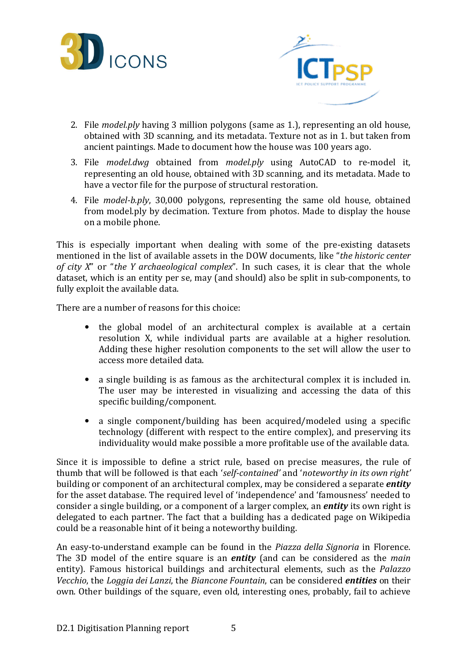



- 2. File model.ply having 3 million polygons (same as 1.), representing an old house, obtained with 3D scanning, and its metadata. Texture not as in 1. but taken from ancient paintings. Made to document how the house was 100 years ago.
- 3. File model.dwg obtained from model.ply using AutoCAD to re-model it, representing an old house, obtained with 3D scanning, and its metadata. Made to have a vector file for the purpose of structural restoration.
- 4. File model-b.ply, 30,000 polygons, representing the same old house, obtained from model.ply by decimation. Texture from photos. Made to display the house on a mobile phone.

This is especially important when dealing with some of the pre-existing datasets mentioned in the list of available assets in the DOW documents, like "the historic center of city X" or "the Y archaeological complex". In such cases, it is clear that the whole dataset, which is an entity per se, may (and should) also be split in sub-components, to fully exploit the available data.

There are a number of reasons for this choice:

- the global model of an architectural complex is available at a certain resolution X, while individual parts are available at a higher resolution. Adding these higher resolution components to the set will allow the user to access more detailed data.
- a single building is as famous as the architectural complex it is included in. The user may be interested in visualizing and accessing the data of this specific building/component.
- a single component/building has been acquired/modeled using a specific technology (different with respect to the entire complex), and preserving its individuality would make possible a more profitable use of the available data.

Since it is impossible to define a strict rule, based on precise measures, the rule of thumb that will be followed is that each 'self-contained' and 'noteworthy in its own right' building or component of an architectural complex, may be considered a separate *entity* for the asset database. The required level of 'independence' and 'famousness' needed to consider a single building, or a component of a larger complex, an *entity* its own right is delegated to each partner. The fact that a building has a dedicated page on Wikipedia could be a reasonable hint of it being a noteworthy building.

An easy-to-understand example can be found in the Piazza della Signoria in Florence. The 3D model of the entire square is an **entity** (and can be considered as the main entity). Famous historical buildings and architectural elements, such as the Palazzo Vecchio, the Loggia dei Lanzi, the Biancone Fountain, can be considered *entities* on their own. Other buildings of the square, even old, interesting ones, probably, fail to achieve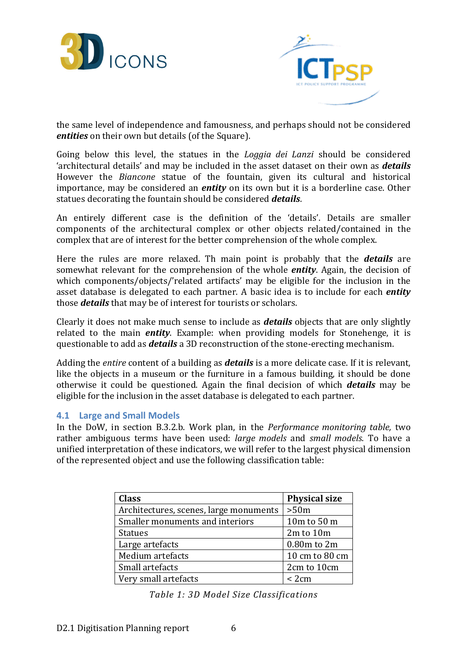



the same level of independence and famousness, and perhaps should not be considered entities on their own but details (of the Square).

Going below this level, the statues in the *Loggia dei Lanzi* should be considered 'architectural details' and may be included in the asset dataset on their own as **details** However the Biancone statue of the fountain, given its cultural and historical importance, may be considered an *entity* on its own but it is a borderline case. Other statues decorating the fountain should be considered **details**.

An entirely different case is the definition of the 'details'. Details are smaller components of the architectural complex or other objects related/contained in the complex that are of interest for the better comprehension of the whole complex.

Here the rules are more relaxed. Th main point is probably that the **details** are somewhat relevant for the comprehension of the whole *entity*. Again, the decision of which components/objects/'related artifacts' may be eligible for the inclusion in the asset database is delegated to each partner. A basic idea is to include for each *entity* those **details** that may be of interest for tourists or scholars.

Clearly it does not make much sense to include as *details* objects that are only slightly related to the main *entity*. Example: when providing models for Stonehenge, it is questionable to add as *details* a 3D reconstruction of the stone-erecting mechanism.

Adding the *entire* content of a building as *details* is a more delicate case. If it is relevant, like the objects in a museum or the furniture in a famous building, it should be done otherwise it could be questioned. Again the final decision of which **details** may be eligible for the inclusion in the asset database is delegated to each partner.

#### 4.1 Large and Small Models

In the DoW, in section B.3.2.b. Work plan, in the Performance monitoring table, two rather ambiguous terms have been used: *large models* and *small models*. To have a unified interpretation of these indicators, we will refer to the largest physical dimension of the represented object and use the following classification table:

| <b>Class</b>                           | <b>Physical size</b> |
|----------------------------------------|----------------------|
| Architectures, scenes, large monuments | >50m                 |
| Smaller monuments and interiors        | 10m to 50 m          |
| <b>Statues</b>                         | 2m to 10m            |
| Large artefacts                        | 0.80m to 2m          |
| Medium artefacts                       | 10 cm to 80 cm       |
| Small artefacts                        | 2cm to 10cm          |
| Very small artefacts                   | < 2cm                |

Table 1: 3D Model Size Classifications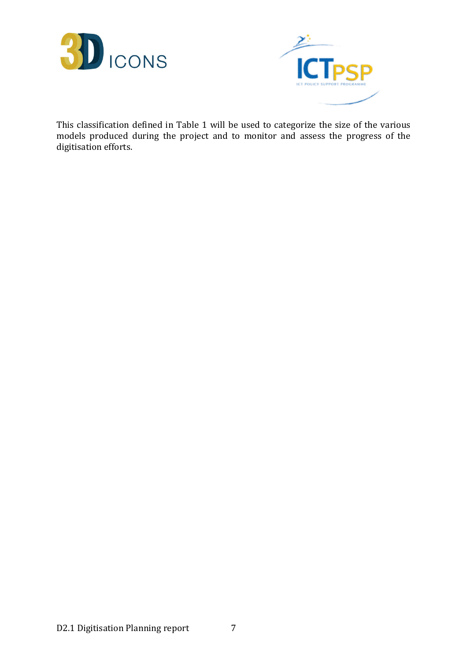



This classification defined in Table 1 will be used to categorize the size of the various models produced during the project and to monitor and assess the progress of the digitisation efforts.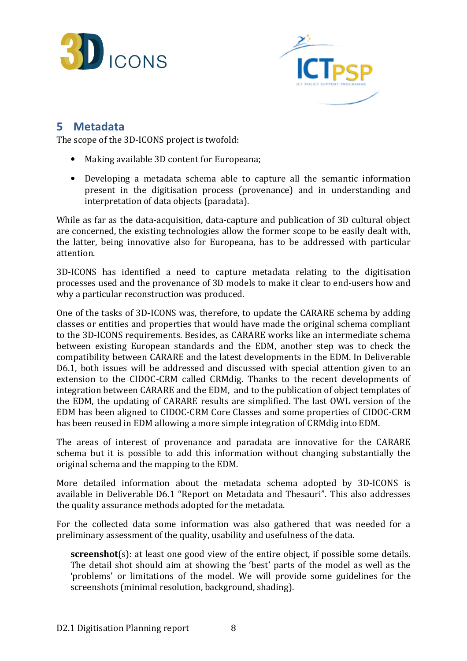



## 5 Metadata

The scope of the 3D-ICONS project is twofold:

- Making available 3D content for Europeana;
- Developing a metadata schema able to capture all the semantic information present in the digitisation process (provenance) and in understanding and interpretation of data objects (paradata).

While as far as the data-acquisition, data-capture and publication of 3D cultural object are concerned, the existing technologies allow the former scope to be easily dealt with, the latter, being innovative also for Europeana, has to be addressed with particular attention.

3D-ICONS has identified a need to capture metadata relating to the digitisation processes used and the provenance of 3D models to make it clear to end-users how and why a particular reconstruction was produced.

One of the tasks of 3D-ICONS was, therefore, to update the CARARE schema by adding classes or entities and properties that would have made the original schema compliant to the 3D-ICONS requirements. Besides, as CARARE works like an intermediate schema between existing European standards and the EDM, another step was to check the compatibility between CARARE and the latest developments in the EDM. In Deliverable D6.1, both issues will be addressed and discussed with special attention given to an extension to the CIDOC-CRM called CRMdig. Thanks to the recent developments of integration between CARARE and the EDM, and to the publication of object templates of the EDM, the updating of CARARE results are simplified. The last OWL version of the EDM has been aligned to CIDOC-CRM Core Classes and some properties of CIDOC-CRM has been reused in EDM allowing a more simple integration of CRMdig into EDM.

The areas of interest of provenance and paradata are innovative for the CARARE schema but it is possible to add this information without changing substantially the original schema and the mapping to the EDM.

More detailed information about the metadata schema adopted by 3D-ICONS is available in Deliverable D6.1 "Report on Metadata and Thesauri". This also addresses the quality assurance methods adopted for the metadata.

For the collected data some information was also gathered that was needed for a preliminary assessment of the quality, usability and usefulness of the data.

screenshot(s): at least one good view of the entire object, if possible some details. The detail shot should aim at showing the 'best' parts of the model as well as the 'problems' or limitations of the model. We will provide some guidelines for the screenshots (minimal resolution, background, shading).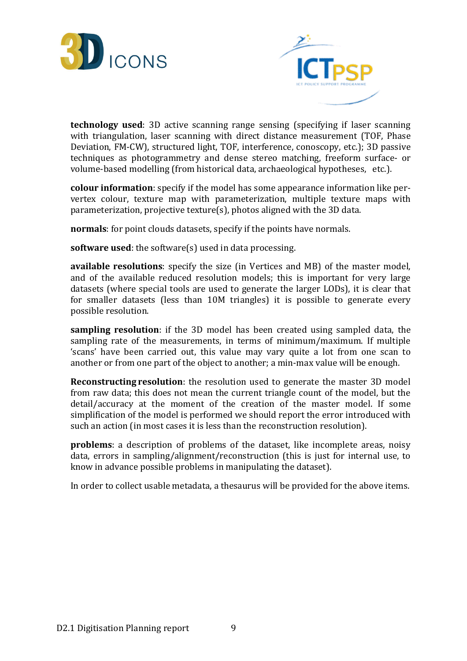



technology used: 3D active scanning range sensing (specifying if laser scanning with triangulation, laser scanning with direct distance measurement (TOF, Phase Deviation, FM-CW), structured light, TOF, interference, conoscopy, etc.); 3D passive techniques as photogrammetry and dense stereo matching, freeform surface- or volume-based modelling (from historical data, archaeological hypotheses, etc.).

colour information: specify if the model has some appearance information like pervertex colour, texture map with parameterization, multiple texture maps with parameterization, projective texture(s), photos aligned with the 3D data.

normals: for point clouds datasets, specify if the points have normals.

software used: the software(s) used in data processing.

available resolutions: specify the size (in Vertices and MB) of the master model, and of the available reduced resolution models; this is important for very large datasets (where special tools are used to generate the larger LODs), it is clear that for smaller datasets (less than 10M triangles) it is possible to generate every possible resolution.

sampling resolution: if the 3D model has been created using sampled data, the sampling rate of the measurements, in terms of minimum/maximum. If multiple 'scans' have been carried out, this value may vary quite a lot from one scan to another or from one part of the object to another; a min-max value will be enough.

Reconstructing resolution: the resolution used to generate the master 3D model from raw data; this does not mean the current triangle count of the model, but the detail/accuracy at the moment of the creation of the master model. If some simplification of the model is performed we should report the error introduced with such an action (in most cases it is less than the reconstruction resolution).

problems: a description of problems of the dataset, like incomplete areas, noisy data, errors in sampling/alignment/reconstruction (this is just for internal use, to know in advance possible problems in manipulating the dataset).

In order to collect usable metadata, a thesaurus will be provided for the above items.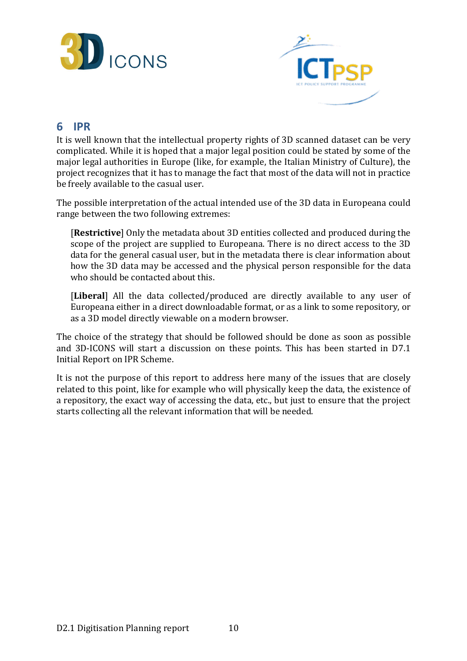



## 6 IPR

It is well known that the intellectual property rights of 3D scanned dataset can be very complicated. While it is hoped that a major legal position could be stated by some of the major legal authorities in Europe (like, for example, the Italian Ministry of Culture), the project recognizes that it has to manage the fact that most of the data will not in practice be freely available to the casual user.

The possible interpretation of the actual intended use of the 3D data in Europeana could range between the two following extremes:

[Restrictive] Only the metadata about 3D entities collected and produced during the scope of the project are supplied to Europeana. There is no direct access to the 3D data for the general casual user, but in the metadata there is clear information about how the 3D data may be accessed and the physical person responsible for the data who should be contacted about this.

[Liberal] All the data collected/produced are directly available to any user of Europeana either in a direct downloadable format, or as a link to some repository, or as a 3D model directly viewable on a modern browser.

The choice of the strategy that should be followed should be done as soon as possible and 3D-ICONS will start a discussion on these points. This has been started in D7.1 Initial Report on IPR Scheme.

It is not the purpose of this report to address here many of the issues that are closely related to this point, like for example who will physically keep the data, the existence of a repository, the exact way of accessing the data, etc., but just to ensure that the project starts collecting all the relevant information that will be needed.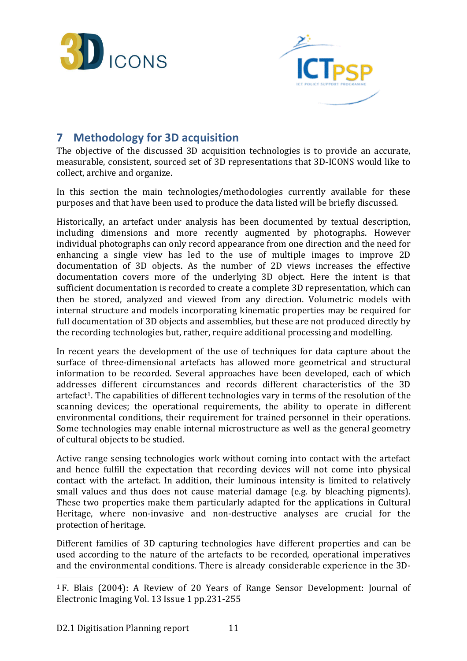



## 7 Methodology for 3D acquisition

The objective of the discussed 3D acquisition technologies is to provide an accurate, measurable, consistent, sourced set of 3D representations that 3D-ICONS would like to collect, archive and organize.

In this section the main technologies/methodologies currently available for these purposes and that have been used to produce the data listed will be briefly discussed.

Historically, an artefact under analysis has been documented by textual description, including dimensions and more recently augmented by photographs. However individual photographs can only record appearance from one direction and the need for enhancing a single view has led to the use of multiple images to improve 2D documentation of 3D objects. As the number of 2D views increases the effective documentation covers more of the underlying 3D object. Here the intent is that sufficient documentation is recorded to create a complete 3D representation, which can then be stored, analyzed and viewed from any direction. Volumetric models with internal structure and models incorporating kinematic properties may be required for full documentation of 3D objects and assemblies, but these are not produced directly by the recording technologies but, rather, require additional processing and modelling.

In recent years the development of the use of techniques for data capture about the surface of three-dimensional artefacts has allowed more geometrical and structural information to be recorded. Several approaches have been developed, each of which addresses different circumstances and records different characteristics of the 3D artefact1. The capabilities of different technologies vary in terms of the resolution of the scanning devices; the operational requirements, the ability to operate in different environmental conditions, their requirement for trained personnel in their operations. Some technologies may enable internal microstructure as well as the general geometry of cultural objects to be studied.

Active range sensing technologies work without coming into contact with the artefact and hence fulfill the expectation that recording devices will not come into physical contact with the artefact. In addition, their luminous intensity is limited to relatively small values and thus does not cause material damage (e.g. by bleaching pigments). These two properties make them particularly adapted for the applications in Cultural Heritage, where non-invasive and non-destructive analyses are crucial for the protection of heritage.

Different families of 3D capturing technologies have different properties and can be used according to the nature of the artefacts to be recorded, operational imperatives and the environmental conditions. There is already considerable experience in the 3D-

 $\overline{a}$ 

<sup>1</sup> F. Blais (2004): A Review of 20 Years of Range Sensor Development: Journal of Electronic Imaging Vol. 13 Issue 1 pp.231-255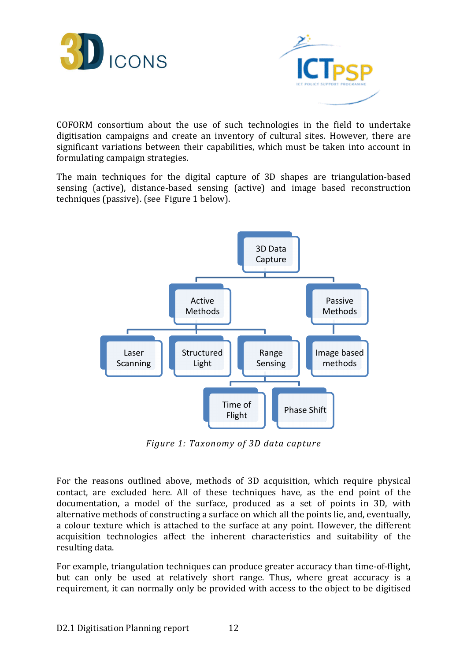



COFORM consortium about the use of such technologies in the field to undertake digitisation campaigns and create an inventory of cultural sites. However, there are significant variations between their capabilities, which must be taken into account in formulating campaign strategies.

The main techniques for the digital capture of 3D shapes are triangulation-based sensing (active), distance-based sensing (active) and image based reconstruction techniques (passive). (see Figure 1 below).



Figure 1: Taxonomy of 3D data capture

For the reasons outlined above, methods of 3D acquisition, which require physical contact, are excluded here. All of these techniques have, as the end point of the documentation, a model of the surface, produced as a set of points in 3D, with alternative methods of constructing a surface on which all the points lie, and, eventually, a colour texture which is attached to the surface at any point. However, the different acquisition technologies affect the inherent characteristics and suitability of the resulting data.

For example, triangulation techniques can produce greater accuracy than time-of-flight, but can only be used at relatively short range. Thus, where great accuracy is a requirement, it can normally only be provided with access to the object to be digitised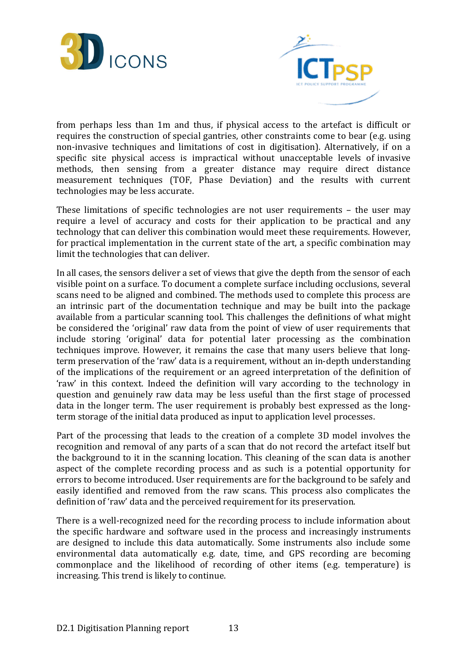



from perhaps less than 1m and thus, if physical access to the artefact is difficult or requires the construction of special gantries, other constraints come to bear (e.g. using non-invasive techniques and limitations of cost in digitisation). Alternatively, if on a specific site physical access is impractical without unacceptable levels of invasive methods, then sensing from a greater distance may require direct distance measurement techniques (TOF, Phase Deviation) and the results with current technologies may be less accurate.

These limitations of specific technologies are not user requirements – the user may require a level of accuracy and costs for their application to be practical and any technology that can deliver this combination would meet these requirements. However, for practical implementation in the current state of the art, a specific combination may limit the technologies that can deliver.

In all cases, the sensors deliver a set of views that give the depth from the sensor of each visible point on a surface. To document a complete surface including occlusions, several scans need to be aligned and combined. The methods used to complete this process are an intrinsic part of the documentation technique and may be built into the package available from a particular scanning tool. This challenges the definitions of what might be considered the 'original' raw data from the point of view of user requirements that include storing 'original' data for potential later processing as the combination techniques improve. However, it remains the case that many users believe that longterm preservation of the 'raw' data is a requirement, without an in-depth understanding of the implications of the requirement or an agreed interpretation of the definition of 'raw' in this context. Indeed the definition will vary according to the technology in question and genuinely raw data may be less useful than the first stage of processed data in the longer term. The user requirement is probably best expressed as the longterm storage of the initial data produced as input to application level processes.

Part of the processing that leads to the creation of a complete 3D model involves the recognition and removal of any parts of a scan that do not record the artefact itself but the background to it in the scanning location. This cleaning of the scan data is another aspect of the complete recording process and as such is a potential opportunity for errors to become introduced. User requirements are for the background to be safely and easily identified and removed from the raw scans. This process also complicates the definition of 'raw' data and the perceived requirement for its preservation.

There is a well-recognized need for the recording process to include information about the specific hardware and software used in the process and increasingly instruments are designed to include this data automatically. Some instruments also include some environmental data automatically e.g. date, time, and GPS recording are becoming commonplace and the likelihood of recording of other items (e.g. temperature) is increasing. This trend is likely to continue.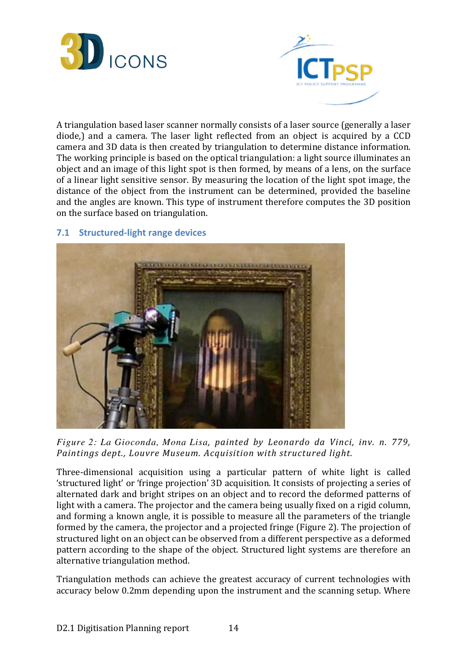



A triangulation based laser scanner normally consists of a laser source (generally a laser diode,) and a camera. The laser light reflected from an object is acquired by a CCD camera and 3D data is then created by triangulation to determine distance information. The working principle is based on the optical triangulation: a light source illuminates an object and an image of this light spot is then formed, by means of a lens, on the surface of a linear light sensitive sensor. By measuring the location of the light spot image, the distance of the object from the instrument can be determined, provided the baseline and the angles are known. This type of instrument therefore computes the 3D position on the surface based on triangulation.

#### 7.1 Structured-light range devices



*Figure 2: La Gioconda, Mona Lisa*, painted by Leonardo da Vinci, inv. n. 779, Paintings dept., Louvre Museum. Acquisition with structured light.

Three-dimensional acquisition using a particular pattern of white light is called 'structured light' or 'fringe projection' 3D acquisition. It consists of projecting a series of alternated dark and bright stripes on an object and to record the deformed patterns of light with a camera. The projector and the camera being usually fixed on a rigid column, and forming a known angle, it is possible to measure all the parameters of the triangle formed by the camera, the projector and a projected fringe (Figure 2). The projection of structured light on an object can be observed from a different perspective as a deformed pattern according to the shape of the object. Structured light systems are therefore an alternative triangulation method.

Triangulation methods can achieve the greatest accuracy of current technologies with accuracy below 0.2mm depending upon the instrument and the scanning setup. Where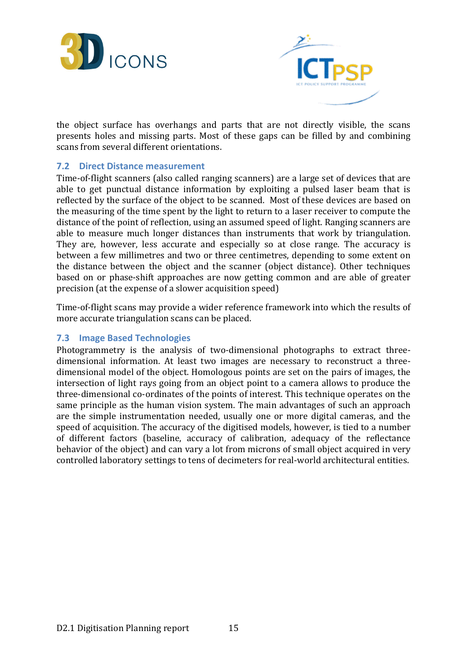



the object surface has overhangs and parts that are not directly visible, the scans presents holes and missing parts. Most of these gaps can be filled by and combining scans from several different orientations.

#### 7.2 Direct Distance measurement

Time-of-flight scanners (also called ranging scanners) are a large set of devices that are able to get punctual distance information by exploiting a pulsed laser beam that is reflected by the surface of the object to be scanned. Most of these devices are based on the measuring of the time spent by the light to return to a laser receiver to compute the distance of the point of reflection, using an assumed speed of light. Ranging scanners are able to measure much longer distances than instruments that work by triangulation. They are, however, less accurate and especially so at close range. The accuracy is between a few millimetres and two or three centimetres, depending to some extent on the distance between the object and the scanner (object distance). Other techniques based on or phase-shift approaches are now getting common and are able of greater precision (at the expense of a slower acquisition speed)

Time-of-flight scans may provide a wider reference framework into which the results of more accurate triangulation scans can be placed.

#### 7.3 Image Based Technologies

Photogrammetry is the analysis of two-dimensional photographs to extract threedimensional information. At least two images are necessary to reconstruct a threedimensional model of the object. Homologous points are set on the pairs of images, the intersection of light rays going from an object point to a camera allows to produce the three-dimensional co-ordinates of the points of interest. This technique operates on the same principle as the human vision system. The main advantages of such an approach are the simple instrumentation needed, usually one or more digital cameras, and the speed of acquisition. The accuracy of the digitised models, however, is tied to a number of different factors (baseline, accuracy of calibration, adequacy of the reflectance behavior of the object) and can vary a lot from microns of small object acquired in very controlled laboratory settings to tens of decimeters for real-world architectural entities.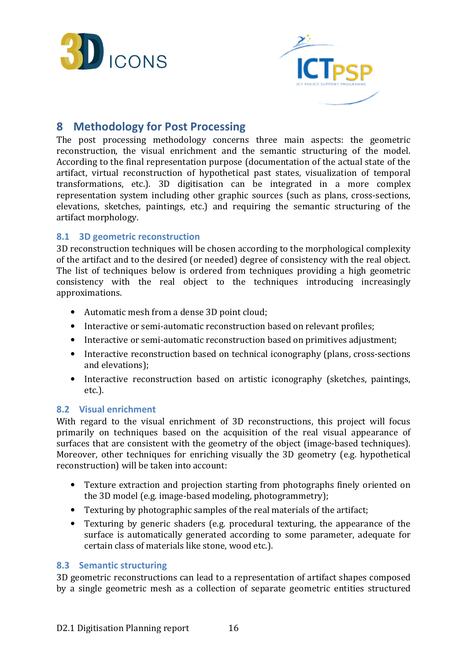



## 8 Methodology for Post Processing

The post processing methodology concerns three main aspects: the geometric reconstruction, the visual enrichment and the semantic structuring of the model. According to the final representation purpose (documentation of the actual state of the artifact, virtual reconstruction of hypothetical past states, visualization of temporal transformations, etc.). 3D digitisation can be integrated in a more complex representation system including other graphic sources (such as plans, cross-sections, elevations, sketches, paintings, etc.) and requiring the semantic structuring of the artifact morphology.

#### 8.1 3D geometric reconstruction

3D reconstruction techniques will be chosen according to the morphological complexity of the artifact and to the desired (or needed) degree of consistency with the real object. The list of techniques below is ordered from techniques providing a high geometric consistency with the real object to the techniques introducing increasingly approximations.

- Automatic mesh from a dense 3D point cloud;
- Interactive or semi-automatic reconstruction based on relevant profiles:
- Interactive or semi-automatic reconstruction based on primitives adjustment;
- Interactive reconstruction based on technical iconography (plans, cross-sections and elevations);
- Interactive reconstruction based on artistic iconography (sketches, paintings, etc.).

#### 8.2 Visual enrichment

With regard to the visual enrichment of 3D reconstructions, this project will focus primarily on techniques based on the acquisition of the real visual appearance of surfaces that are consistent with the geometry of the object (image-based techniques). Moreover, other techniques for enriching visually the 3D geometry (e.g. hypothetical reconstruction) will be taken into account:

- Texture extraction and projection starting from photographs finely oriented on the 3D model (e.g. image-based modeling, photogrammetry);
- Texturing by photographic samples of the real materials of the artifact;
- Texturing by generic shaders (e.g. procedural texturing, the appearance of the surface is automatically generated according to some parameter, adequate for certain class of materials like stone, wood etc.).

#### 8.3 Semantic structuring

3D geometric reconstructions can lead to a representation of artifact shapes composed by a single geometric mesh as a collection of separate geometric entities structured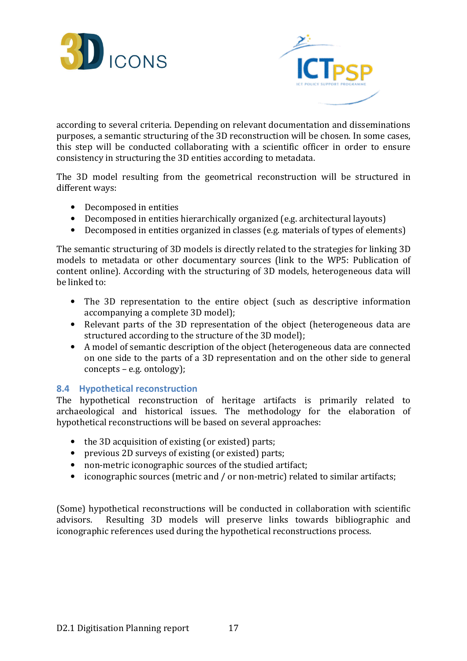



according to several criteria. Depending on relevant documentation and disseminations purposes, a semantic structuring of the 3D reconstruction will be chosen. In some cases, this step will be conducted collaborating with a scientific officer in order to ensure consistency in structuring the 3D entities according to metadata.

The 3D model resulting from the geometrical reconstruction will be structured in different ways:

- Decomposed in entities
- Decomposed in entities hierarchically organized (e.g. architectural layouts)
- Decomposed in entities organized in classes (e.g. materials of types of elements)

The semantic structuring of 3D models is directly related to the strategies for linking 3D models to metadata or other documentary sources (link to the WP5: Publication of content online). According with the structuring of 3D models, heterogeneous data will be linked to:

- The 3D representation to the entire object (such as descriptive information accompanying a complete 3D model);
- Relevant parts of the 3D representation of the object (heterogeneous data are structured according to the structure of the 3D model);
- A model of semantic description of the object (heterogeneous data are connected on one side to the parts of a 3D representation and on the other side to general concepts – e.g. ontology);

#### 8.4 Hypothetical reconstruction

The hypothetical reconstruction of heritage artifacts is primarily related to archaeological and historical issues. The methodology for the elaboration of hypothetical reconstructions will be based on several approaches:

- the 3D acquisition of existing (or existed) parts;
- previous 2D surveys of existing (or existed) parts;
- non-metric iconographic sources of the studied artifact;
- iconographic sources (metric and / or non-metric) related to similar artifacts;

(Some) hypothetical reconstructions will be conducted in collaboration with scientific advisors. Resulting 3D models will preserve links towards bibliographic and iconographic references used during the hypothetical reconstructions process.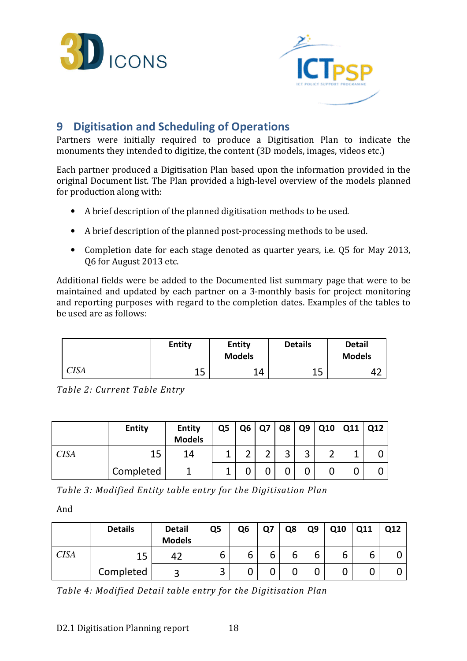



## 9 Digitisation and Scheduling of Operations

Partners were initially required to produce a Digitisation Plan to indicate the monuments they intended to digitize, the content (3D models, images, videos etc.)

Each partner produced a Digitisation Plan based upon the information provided in the original Document list. The Plan provided a high-level overview of the models planned for production along with:

- A brief description of the planned digitisation methods to be used.
- A brief description of the planned post-processing methods to be used.
- Completion date for each stage denoted as quarter years, i.e. Q5 for May 2013, Q6 for August 2013 etc.

Additional fields were be added to the Documented list summary page that were to be maintained and updated by each partner on a 3-monthly basis for project monitoring and reporting purposes with regard to the completion dates. Examples of the tables to be used are as follows:

|      | <b>Entity</b> | <b>Entity</b><br><b>Models</b> | <b>Details</b> | <b>Detail</b><br><b>Models</b> |
|------|---------------|--------------------------------|----------------|--------------------------------|
| CISA | 15<br>ᅩJ      | 14                             | 1 C<br>ᅩᆚ      | −                              |

Table 2: Current Table Entry

|             | <b>Entity</b> | <b>Entity</b><br><b>Models</b> | Q <sub>5</sub> | Q6 | Q7 | Q8     | Q <sub>9</sub> | Q10    | Q11 | Q12 |
|-------------|---------------|--------------------------------|----------------|----|----|--------|----------------|--------|-----|-----|
| <b>CISA</b> | 15            | 14                             |                | ⌒  | ົ  | 2<br>ر | ્ર<br>ت        | ◠<br>∠ |     |     |
|             | Completed     |                                |                |    |    |        |                | 0      |     |     |

Table 3: Modified Entity table entry for the Digitisation Plan

And

|             | <b>Details</b> | <b>Detail</b><br><b>Models</b> | Q5     | Q6 | Ο7     | Q8 | Q <sub>9</sub> | Q10 | Q11 | Q12 |
|-------------|----------------|--------------------------------|--------|----|--------|----|----------------|-----|-----|-----|
| <b>CISA</b> | 15             | 42                             | b      | 6  | ╭<br>b | b  | b              | b   |     |     |
|             | Completed      | ⌒                              | ◠<br>ت | u  |        |    | u              |     |     |     |

Table 4: Modified Detail table entry for the Digitisation Plan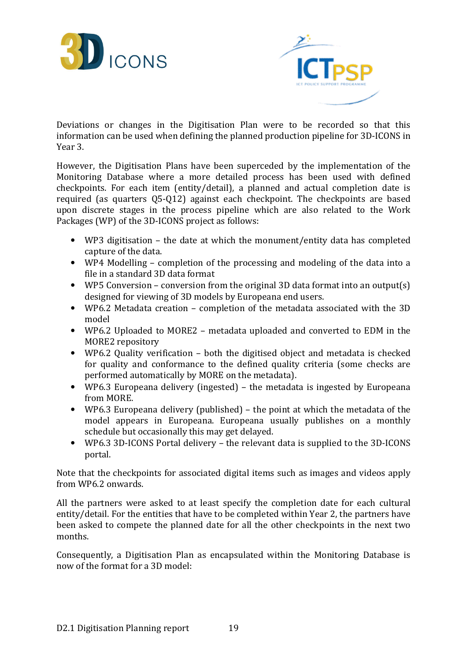



Deviations or changes in the Digitisation Plan were to be recorded so that this information can be used when defining the planned production pipeline for 3D-ICONS in Year 3.

However, the Digitisation Plans have been superceded by the implementation of the Monitoring Database where a more detailed process has been used with defined checkpoints. For each item (entity/detail), a planned and actual completion date is required (as quarters Q5-Q12) against each checkpoint. The checkpoints are based upon discrete stages in the process pipeline which are also related to the Work Packages (WP) of the 3D-ICONS project as follows:

- WP3 digitisation the date at which the monument/entity data has completed capture of the data.
- WP4 Modelling completion of the processing and modeling of the data into a file in a standard 3D data format
- WP5 Conversion conversion from the original 3D data format into an output(s) designed for viewing of 3D models by Europeana end users.
- WP6.2 Metadata creation completion of the metadata associated with the 3D model
- WP6.2 Uploaded to MORE2 metadata uploaded and converted to EDM in the MORE2 repository
- WP6.2 Quality verification both the digitised object and metadata is checked for quality and conformance to the defined quality criteria (some checks are performed automatically by MORE on the metadata).
- WP6.3 Europeana delivery (ingested) the metadata is ingested by Europeana from MORE.
- WP6.3 Europeana delivery (published) the point at which the metadata of the model appears in Europeana. Europeana usually publishes on a monthly schedule but occasionally this may get delayed.
- WP6.3 3D-ICONS Portal delivery the relevant data is supplied to the 3D-ICONS portal.

Note that the checkpoints for associated digital items such as images and videos apply from WP6.2 onwards.

All the partners were asked to at least specify the completion date for each cultural entity/detail. For the entities that have to be completed within Year 2, the partners have been asked to compete the planned date for all the other checkpoints in the next two months.

Consequently, a Digitisation Plan as encapsulated within the Monitoring Database is now of the format for a 3D model: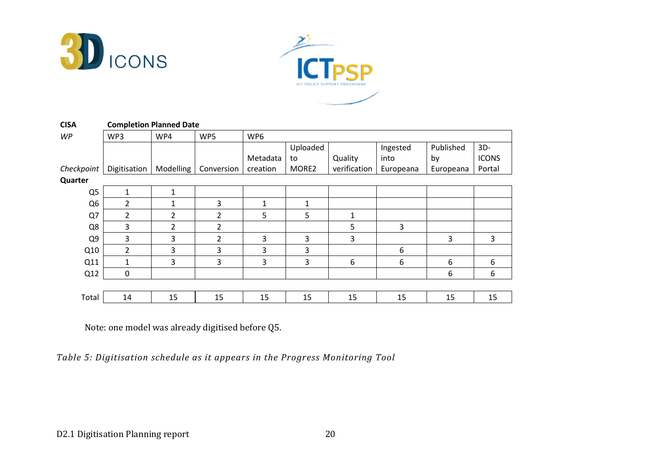



| <b>CISA</b>    | <b>Completion Planned Date</b> |                |                |          |                   |                |           |           |              |  |
|----------------|--------------------------------|----------------|----------------|----------|-------------------|----------------|-----------|-----------|--------------|--|
| <b>WP</b>      | WP3                            | WP4            | WP5            | WP6      |                   |                |           |           |              |  |
|                |                                |                |                |          | Uploaded          |                | Ingested  | Published | $3D -$       |  |
|                |                                |                |                | Metadata | to                | Quality        | into      | by        | <b>ICONS</b> |  |
| Checkpoint     | Digitisation                   | Modelling      | Conversion     | creation | MORE <sub>2</sub> | verification   | Europeana | Europeana | Portal       |  |
| Quarter        |                                |                |                |          |                   |                |           |           |              |  |
| Q <sub>5</sub> | 1                              | 1              |                |          |                   |                |           |           |              |  |
| Q <sub>6</sub> | 2                              | 1              | 3              | 1        | 1                 |                |           |           |              |  |
| Q7             | $\overline{2}$                 | $\overline{2}$ | $\overline{2}$ | 5        | 5                 | $\mathbf{1}$   |           |           |              |  |
| Q8             | 3                              | 2              | $\overline{2}$ |          |                   | $5\phantom{.}$ | 3         |           |              |  |
| Q <sub>9</sub> | 3                              | 3              | $\overline{2}$ | 3        | 3                 | $\overline{3}$ |           | 3         | 3            |  |
| Q10            | $\overline{2}$                 | 3              | 3              | 3        | 3                 |                | 6         |           |              |  |
| Q11            | 1                              | 3              | 3              | 3        | 3                 | 6              | 6         | 6         | 6            |  |
| Q12            | 0                              |                |                |          |                   |                |           | 6         | 6            |  |
|                |                                |                |                |          |                   |                |           |           |              |  |
| Total          | 14                             | 15             | 15             | 15       | 15                | 15             | 15        | 15        | 15           |  |

Note: one model was already digitised before Q5.

Table 5: Digitisation schedule as it appears in the Progress Monitoring Tool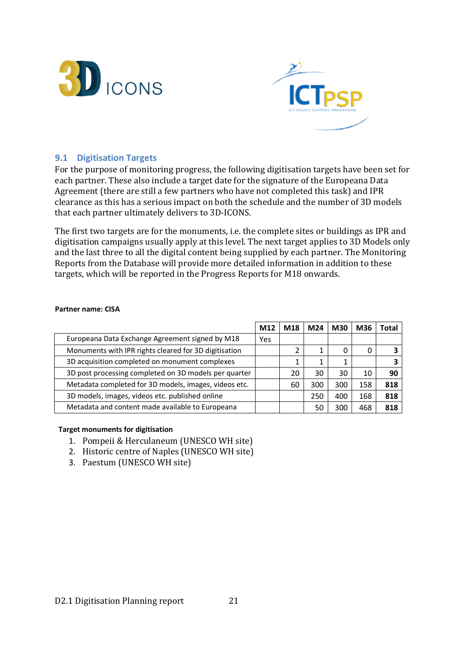



#### 9.1 Digitisation Targets

For the purpose of monitoring progress, the following digitisation targets have been set for each partner. These also include a target date for the signature of the Europeana Data Agreement (there are still a few partners who have not completed this task) and IPR clearance as this has a serious impact on both the schedule and the number of 3D models that each partner ultimately delivers to 3D-ICONS.

The first two targets are for the monuments, i.e. the complete sites or buildings as IPR and digitisation campaigns usually apply at this level. The next target applies to 3D Models only and the last three to all the digital content being supplied by each partner. The Monitoring Reports from the Database will provide more detailed information in addition to these targets, which will be reported in the Progress Reports for M18 onwards.

|                                                       | M12 | M18 | M24 | M30 | M36 | <b>Total</b> |
|-------------------------------------------------------|-----|-----|-----|-----|-----|--------------|
| Europeana Data Exchange Agreement signed by M18       | Yes |     |     |     |     |              |
| Monuments with IPR rights cleared for 3D digitisation |     |     |     | 0   | O   |              |
| 3D acquisition completed on monument complexes        |     |     |     |     |     |              |
| 3D post processing completed on 3D models per quarter |     | 20  | 30  | 30  | 10  | 90           |
| Metadata completed for 3D models, images, videos etc. |     | 60  | 300 | 300 | 158 | 818          |
| 3D models, images, videos etc. published online       |     |     | 250 | 400 | 168 | 818          |
| Metadata and content made available to Europeana      |     |     | 50  | 300 | 468 | 818          |

#### Partner name: CISA

- 1. Pompeii & Herculaneum (UNESCO WH site)
- 2. Historic centre of Naples (UNESCO WH site)
- 3. Paestum (UNESCO WH site)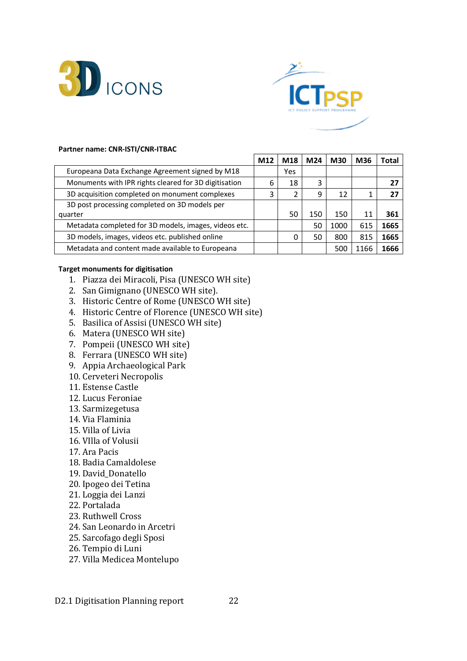



#### Partner name: CNR-ISTI/CNR-ITBAC

|                                                       | M12 | M18 | M24 | <b>M30</b> | M36  | Total |
|-------------------------------------------------------|-----|-----|-----|------------|------|-------|
| Europeana Data Exchange Agreement signed by M18       |     | Yes |     |            |      |       |
| Monuments with IPR rights cleared for 3D digitisation | 6   | 18  | 3   |            |      | 27    |
| 3D acquisition completed on monument complexes        | 3   |     | 9   | 12         |      | 27    |
| 3D post processing completed on 3D models per         |     |     |     |            |      |       |
| quarter                                               |     | 50  | 150 | 150        | 11   | 361   |
| Metadata completed for 3D models, images, videos etc. |     |     | 50  | 1000       | 615  | 1665  |
| 3D models, images, videos etc. published online       |     | 0   | 50  | 800        | 815  | 1665  |
| Metadata and content made available to Europeana      |     |     |     | 500        | 1166 | 1666  |

- 1. Piazza dei Miracoli, Pisa (UNESCO WH site)
- 2. San Gimignano (UNESCO WH site).
- 3. Historic Centre of Rome (UNESCO WH site)
- 4. Historic Centre of Florence (UNESCO WH site)
- 5. Basilica of Assisi (UNESCO WH site)
- 6. Matera (UNESCO WH site)
- 7. Pompeii (UNESCO WH site)
- 8. Ferrara (UNESCO WH site)
- 9. Appia Archaeological Park
- 10. Cerveteri Necropolis
- 11. Estense Castle
- 12. Lucus Feroniae
- 13. Sarmizegetusa
- 14. Via Flaminia
- 15. Villa of Livia
- 16. VIlla of Volusii
- 17. Ara Pacis
- 18. Badia Camaldolese
- 19. David\_Donatello
- 20. Ipogeo dei Tetina
- 21. Loggia dei Lanzi
- 22. Portalada
- 23. Ruthwell Cross
- 24. San Leonardo in Arcetri
- 25. Sarcofago degli Sposi
- 26. Tempio di Luni
- 27. Villa Medicea Montelupo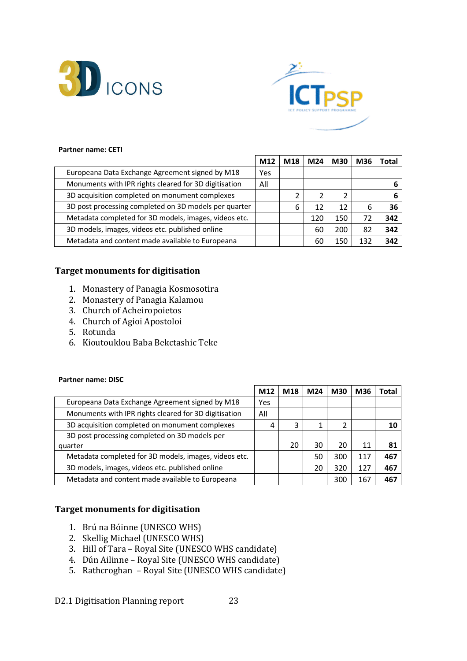



#### Partner name: CETI

|                                                       | M12 | M18 | M24 | M30 | M36 | Total |
|-------------------------------------------------------|-----|-----|-----|-----|-----|-------|
| Europeana Data Exchange Agreement signed by M18       | Yes |     |     |     |     |       |
| Monuments with IPR rights cleared for 3D digitisation | All |     |     |     |     |       |
| 3D acquisition completed on monument complexes        |     |     |     | 2   |     |       |
| 3D post processing completed on 3D models per quarter |     | 6   | 12  | 12  | 6   | 36    |
| Metadata completed for 3D models, images, videos etc. |     |     | 120 | 150 | 72  | 342   |
| 3D models, images, videos etc. published online       |     |     | 60  | 200 | 82  | 342   |
| Metadata and content made available to Europeana      |     |     | 60  | 150 | 132 | 342   |

#### Target monuments for digitisation

- 1. Monastery of Panagia Kosmosotira
- 2. Monastery of Panagia Kalamou
- 3. Church of Acheiropoietos
- 4. Church of Agioi Apostoloi
- 5. Rotunda
- 6. Kioutouklou Baba Bekctashic Teke

#### Partner name: DISC

|                                                       | M12 | M18 | M24 | <b>M30</b>     | M36 | Total |
|-------------------------------------------------------|-----|-----|-----|----------------|-----|-------|
| Europeana Data Exchange Agreement signed by M18       | Yes |     |     |                |     |       |
| Monuments with IPR rights cleared for 3D digitisation | All |     |     |                |     |       |
| 3D acquisition completed on monument complexes        | 4   | 3   |     | $\overline{2}$ |     | 10    |
| 3D post processing completed on 3D models per         |     |     |     |                |     |       |
| quarter                                               |     | 20  | 30  | 20             | 11  | 81    |
| Metadata completed for 3D models, images, videos etc. |     |     | 50  | 300            | 117 | 467   |
| 3D models, images, videos etc. published online       |     |     | 20  | 320            | 127 | 467   |
| Metadata and content made available to Europeana      |     |     |     | 300            | 167 | 467   |

- 1. Brú na Bóinne (UNESCO WHS)
- 2. Skellig Michael (UNESCO WHS)
- 3. Hill of Tara Royal Site (UNESCO WHS candidate)
- 4. Dún Ailinne Royal Site (UNESCO WHS candidate)
- 5. Rathcroghan Royal Site (UNESCO WHS candidate)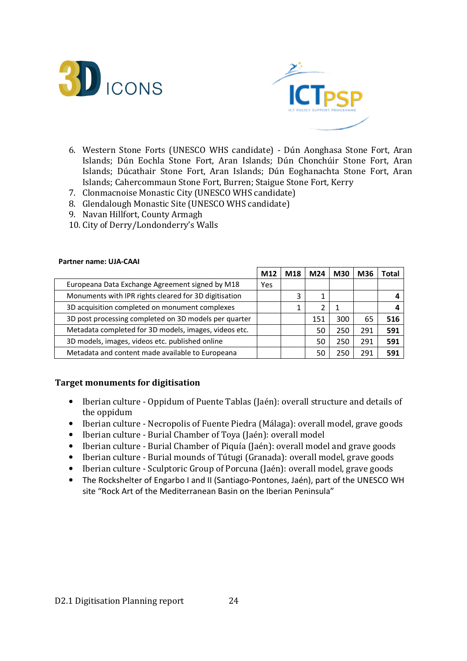



- 6. Western Stone Forts (UNESCO WHS candidate) Dún Aonghasa Stone Fort, Aran Islands; Dún Eochla Stone Fort, Aran Islands; Dún Chonchúir Stone Fort, Aran Islands; Dúcathair Stone Fort, Aran Islands; Dún Eoghanachta Stone Fort, Aran Islands; Cahercommaun Stone Fort, Burren; Staigue Stone Fort, Kerry
- 7. Clonmacnoise Monastic City (UNESCO WHS candidate)
- 8. Glendalough Monastic Site (UNESCO WHS candidate)
- 9. Navan Hillfort, County Armagh
- 10. City of Derry/Londonderry's Walls

#### Partner name: UJA-CAAI

|                                                       | M12 | M18 | M24 | <b>M30</b> | M36 | Total |
|-------------------------------------------------------|-----|-----|-----|------------|-----|-------|
| Europeana Data Exchange Agreement signed by M18       | Yes |     |     |            |     |       |
| Monuments with IPR rights cleared for 3D digitisation |     | 3   |     |            |     |       |
| 3D acquisition completed on monument complexes        |     | 1   |     |            |     |       |
| 3D post processing completed on 3D models per quarter |     |     | 151 | 300        | 65  | 516   |
| Metadata completed for 3D models, images, videos etc. |     |     | 50  | 250        | 291 | 591   |
| 3D models, images, videos etc. published online       |     |     | 50  | 250        | 291 | 591   |
| Metadata and content made available to Europeana      |     |     | 50  | 250        | 291 | 591   |

- Iberian culture Oppidum of Puente Tablas (Jaén): overall structure and details of the oppidum
- Iberian culture Necropolis of Fuente Piedra (Málaga): overall model, grave goods
- Iberian culture Burial Chamber of Toya (Jaén): overall model
- Iberian culture Burial Chamber of Piquía (Jaén): overall model and grave goods
- Iberian culture Burial mounds of Tútugi (Granada): overall model, grave goods
- Iberian culture Sculptoric Group of Porcuna (Jaén): overall model, grave goods
- The Rockshelter of Engarbo I and II (Santiago-Pontones, Jaén), part of the UNESCO WH site "Rock Art of the Mediterranean Basin on the Iberian Peninsula"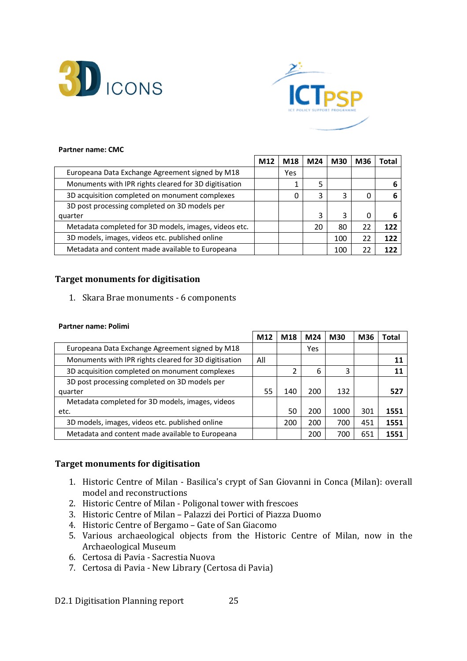



#### Partner name: CMC

|                                                       | M12 | M18 | M24 | <b>M30</b> | M36 | Total |
|-------------------------------------------------------|-----|-----|-----|------------|-----|-------|
| Europeana Data Exchange Agreement signed by M18       |     | Yes |     |            |     |       |
| Monuments with IPR rights cleared for 3D digitisation |     |     | 5   |            |     |       |
| 3D acquisition completed on monument complexes        |     | 0   | 3   | 3          | O   |       |
| 3D post processing completed on 3D models per         |     |     |     |            |     |       |
| quarter                                               |     |     | ς   | 3          | 0   |       |
| Metadata completed for 3D models, images, videos etc. |     |     | 20  | 80         | 22  | 122   |
| 3D models, images, videos etc. published online       |     |     |     | 100        | 22  | 122   |
| Metadata and content made available to Europeana      |     |     |     | 100        |     | 177   |

#### Target monuments for digitisation

#### 1. Skara Brae monuments - 6 components

#### Partner name: Polimi

|                                                       | M12 | M18 | M24 | <b>M30</b> | M36 | Total |
|-------------------------------------------------------|-----|-----|-----|------------|-----|-------|
| Europeana Data Exchange Agreement signed by M18       |     |     | Yes |            |     |       |
| Monuments with IPR rights cleared for 3D digitisation | All |     |     |            |     | 11    |
| 3D acquisition completed on monument complexes        |     |     | 6   | 3          |     | 11    |
| 3D post processing completed on 3D models per         |     |     |     |            |     |       |
| quarter                                               | 55  | 140 | 200 | 132        |     | 527   |
| Metadata completed for 3D models, images, videos      |     |     |     |            |     |       |
| etc.                                                  |     | 50  | 200 | 1000       | 301 | 1551  |
| 3D models, images, videos etc. published online       |     | 200 | 200 | 700        | 451 | 1551  |
| Metadata and content made available to Europeana      |     |     | 200 | 700        | 651 | 1551  |

#### Target monuments for digitisation

- 1. Historic Centre of Milan Basilica's crypt of San Giovanni in Conca (Milan): overall model and reconstructions
- 2. Historic Centre of Milan Poligonal tower with frescoes
- 3. Historic Centre of Milan Palazzi dei Portici of Piazza Duomo
- 4. Historic Centre of Bergamo Gate of San Giacomo
- 5. Various archaeological objects from the Historic Centre of Milan, now in the Archaeological Museum
- 6. Certosa di Pavia Sacrestia Nuova
- 7. Certosa di Pavia New Library (Certosa di Pavia)

D2.1 Digitisation Planning report 25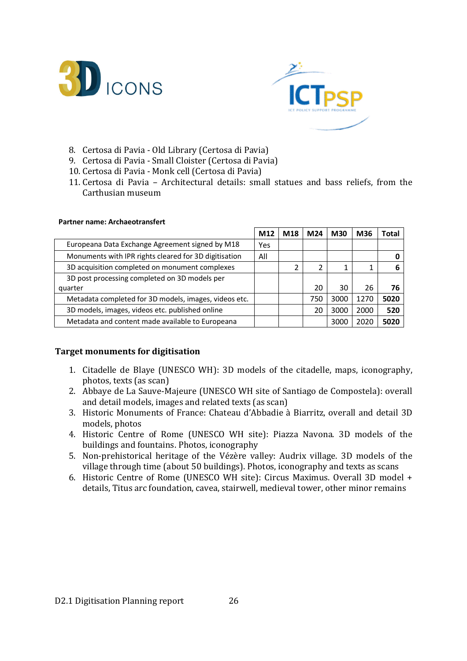



- 8. Certosa di Pavia Old Library (Certosa di Pavia)
- 9. Certosa di Pavia Small Cloister (Certosa di Pavia)
- 10. Certosa di Pavia Monk cell (Certosa di Pavia)
- 11. Certosa di Pavia Architectural details: small statues and bass reliefs, from the Carthusian museum

#### Partner name: Archaeotransfert

|                                                       | M12 | M18 | M24 | <b>M30</b> | M36  | Total |
|-------------------------------------------------------|-----|-----|-----|------------|------|-------|
| Europeana Data Exchange Agreement signed by M18       | Yes |     |     |            |      |       |
| Monuments with IPR rights cleared for 3D digitisation | All |     |     |            |      |       |
| 3D acquisition completed on monument complexes        |     |     |     | 1          |      | 6     |
| 3D post processing completed on 3D models per         |     |     |     |            |      |       |
| quarter                                               |     |     | 20  | 30         | 26   | 76    |
| Metadata completed for 3D models, images, videos etc. |     |     | 750 | 3000       | 1270 | 5020  |
| 3D models, images, videos etc. published online       |     |     | 20  | 3000       | 2000 | 520   |
| Metadata and content made available to Europeana      |     |     |     | 3000       | 2020 | 5020  |

- 1. Citadelle de Blaye (UNESCO WH): 3D models of the citadelle, maps, iconography, photos, texts (as scan)
- 2. Abbaye de La Sauve-Majeure (UNESCO WH site of Santiago de Compostela): overall and detail models, images and related texts (as scan)
- 3. Historic Monuments of France: Chateau d'Abbadie à Biarritz, overall and detail 3D models, photos
- 4. Historic Centre of Rome (UNESCO WH site): Piazza Navona. 3D models of the buildings and fountains. Photos, iconography
- 5. Non-prehistorical heritage of the Vézère valley: Audrix village. 3D models of the village through time (about 50 buildings). Photos, iconography and texts as scans
- 6. Historic Centre of Rome (UNESCO WH site): Circus Maximus. Overall 3D model + details, Titus arc foundation, cavea, stairwell, medieval tower, other minor remains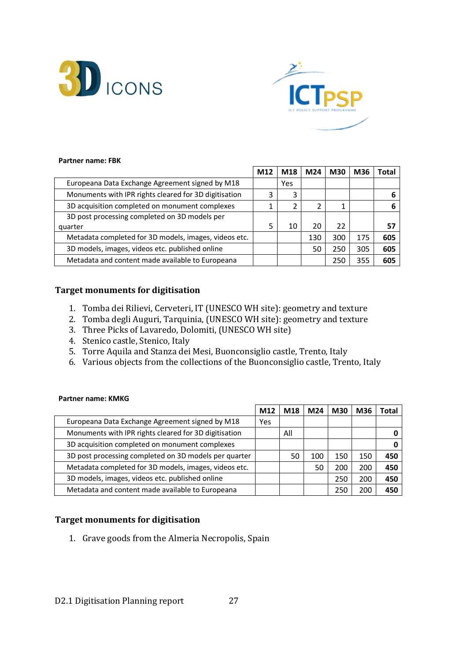



#### Partner name: FBK

|                                                       | M12 | M18 | M24 | <b>M30</b> | M36 | Total |
|-------------------------------------------------------|-----|-----|-----|------------|-----|-------|
| Europeana Data Exchange Agreement signed by M18       |     | Yes |     |            |     |       |
| Monuments with IPR rights cleared for 3D digitisation | 3   | 3   |     |            |     |       |
| 3D acquisition completed on monument complexes        |     | 2   | 2   |            |     |       |
| 3D post processing completed on 3D models per         |     |     |     |            |     |       |
| quarter                                               | 5   | 10  | 20  | 22         |     | 57    |
| Metadata completed for 3D models, images, videos etc. |     |     | 130 | 300        | 175 | 605   |
| 3D models, images, videos etc. published online       |     |     | 50  | 250        | 305 | 605   |
| Metadata and content made available to Europeana      |     |     |     | 250        | 355 | 605   |

#### Target monuments for digitisation

- 1. Tomba dei Rilievi, Cerveteri, IT (UNESCO WH site): geometry and texture
- 2. Tomba degli Auguri, Tarquinia, (UNESCO WH site): geometry and texture
- 3. Three Picks of Lavaredo, Dolomiti, (UNESCO WH site)
- 4. Stenico castle, Stenico, Italy
- 5. Torre Aquila and Stanza dei Mesi, Buonconsiglio castle, Trento, Italy
- 6. Various objects from the collections of the Buonconsiglio castle, Trento, Italy

#### Partner name: KMKG

|                                                       | M12 | M18 | M24 | <b>M30</b> | M36 | Total |
|-------------------------------------------------------|-----|-----|-----|------------|-----|-------|
| Europeana Data Exchange Agreement signed by M18       | Yes |     |     |            |     |       |
| Monuments with IPR rights cleared for 3D digitisation |     | All |     |            |     |       |
| 3D acquisition completed on monument complexes        |     |     |     |            |     |       |
| 3D post processing completed on 3D models per quarter |     | 50  | 100 | 150        | 150 | 450   |
| Metadata completed for 3D models, images, videos etc. |     |     | 50  | 200        | 200 | 450   |
| 3D models, images, videos etc. published online       |     |     |     | 250        | 200 | 450   |
| Metadata and content made available to Europeana      |     |     |     | 250        | 200 | 450   |

#### Target monuments for digitisation

1. Grave goods from the Almeria Necropolis, Spain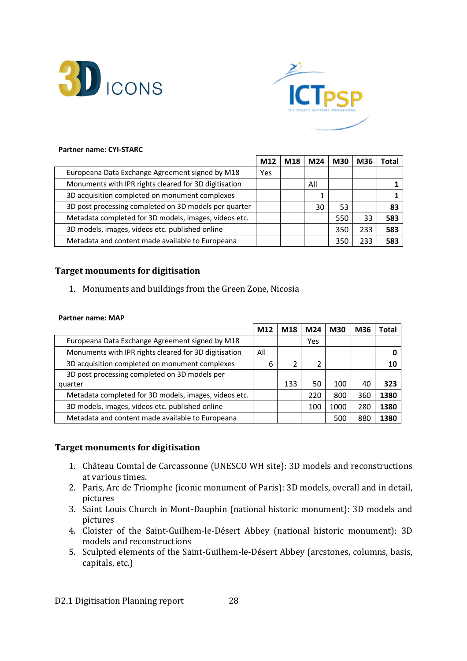



#### Partner name: CYI-STARC

|                                                       | M12 | M18 | M24 | <b>M30</b> | M36 | Гоtal |
|-------------------------------------------------------|-----|-----|-----|------------|-----|-------|
| Europeana Data Exchange Agreement signed by M18       | Yes |     |     |            |     |       |
| Monuments with IPR rights cleared for 3D digitisation |     |     | All |            |     |       |
| 3D acquisition completed on monument complexes        |     |     |     |            |     |       |
| 3D post processing completed on 3D models per quarter |     |     | 30  | 53         |     | 83    |
| Metadata completed for 3D models, images, videos etc. |     |     |     | 550        | 33  | 583   |
| 3D models, images, videos etc. published online       |     |     |     | 350        | 233 | 583   |
| Metadata and content made available to Europeana      |     |     |     | 350        | 233 | 583   |

#### Target monuments for digitisation

1. Monuments and buildings from the Green Zone, Nicosia

#### Partner name: MAP

|                                                       | M12 | M18 | M24 | <b>M30</b> | M36 | Total |
|-------------------------------------------------------|-----|-----|-----|------------|-----|-------|
| Europeana Data Exchange Agreement signed by M18       |     |     | Yes |            |     |       |
| Monuments with IPR rights cleared for 3D digitisation | All |     |     |            |     |       |
| 3D acquisition completed on monument complexes        | 6   |     | 2   |            |     | 10    |
| 3D post processing completed on 3D models per         |     |     |     |            |     |       |
| quarter                                               |     | 133 | 50  | 100        | 40  | 323   |
| Metadata completed for 3D models, images, videos etc. |     |     | 220 | 800        | 360 | 1380  |
| 3D models, images, videos etc. published online       |     |     | 100 | 1000       | 280 | 1380  |
| Metadata and content made available to Europeana      |     |     |     | 500        | 880 | 1380  |

- 1. Château Comtal de Carcassonne (UNESCO WH site): 3D models and reconstructions at various times.
- 2. Paris, Arc de Triomphe (iconic monument of Paris): 3D models, overall and in detail, pictures
- 3. Saint Louis Church in Mont-Dauphin (national historic monument): 3D models and pictures
- 4. Cloister of the Saint-Guilhem-le-Désert Abbey (national historic monument): 3D models and reconstructions
- 5. Sculpted elements of the Saint-Guilhem-le-Désert Abbey (arcstones, columns, basis, capitals, etc.)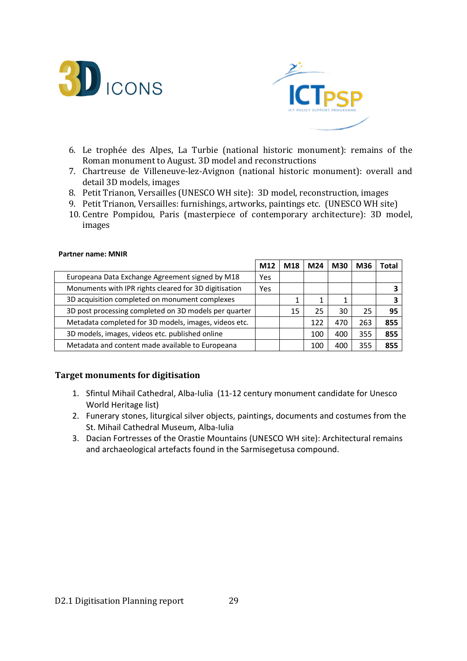



- 6. Le trophée des Alpes, La Turbie (national historic monument): remains of the Roman monument to August. 3D model and reconstructions
- 7. Chartreuse de Villeneuve-lez-Avignon (national historic monument): overall and detail 3D models, images
- 8. Petit Trianon, Versailles (UNESCO WH site): 3D model, reconstruction, images
- 9. Petit Trianon, Versailles: furnishings, artworks, paintings etc. (UNESCO WH site)
- 10. Centre Pompidou, Paris (masterpiece of contemporary architecture): 3D model, images

|                                                       | M12 | M <sub>18</sub> | M24 | <b>M30</b> | M36 | 'otal |
|-------------------------------------------------------|-----|-----------------|-----|------------|-----|-------|
| Europeana Data Exchange Agreement signed by M18       | Yes |                 |     |            |     |       |
| Monuments with IPR rights cleared for 3D digitisation | Yes |                 |     |            |     |       |
| 3D acquisition completed on monument complexes        |     |                 |     |            |     |       |
| 3D post processing completed on 3D models per quarter |     | 15              | 25  | 30         | 25  | 95    |
| Metadata completed for 3D models, images, videos etc. |     |                 | 122 | 470        | 263 | 855   |
| 3D models, images, videos etc. published online       |     |                 | 100 | 400        | 355 | 855   |
| Metadata and content made available to Europeana      |     |                 | 100 | 400        | 355 | 855   |

#### Partner name: MNIR

- 1. Sfintul Mihail Cathedral, Alba-Iulia (11-12 century monument candidate for Unesco World Heritage list)
- 2. Funerary stones, liturgical silver objects, paintings, documents and costumes from the St. Mihail Cathedral Museum, Alba-Iulia
- 3. Dacian Fortresses of the Orastie Mountains (UNESCO WH site): Architectural remains and archaeological artefacts found in the Sarmisegetusa compound.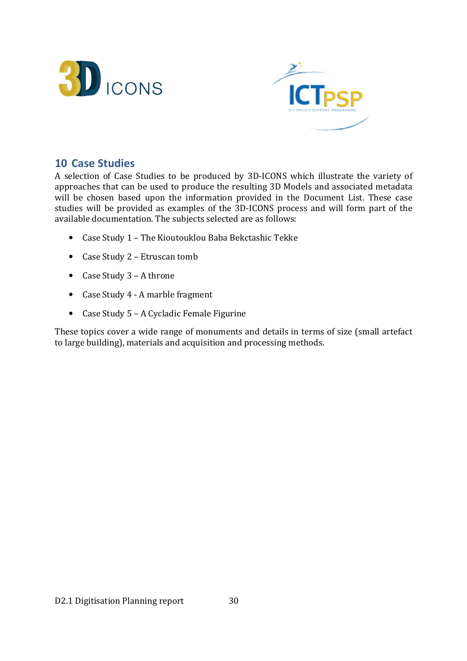



### 10 Case Studies

A selection of Case Studies to be produced by 3D-ICONS which illustrate the variety of approaches that can be used to produce the resulting 3D Models and associated metadata will be chosen based upon the information provided in the Document List. These case studies will be provided as examples of the 3D-ICONS process and will form part of the available documentation. The subjects selected are as follows:

- Case Study 1 The Kioutouklou Baba Bekctashic Tekke
- Case Study 2 Etruscan tomb
- Case Study 3 A throne
- Case Study 4 A marble fragment
- Case Study 5 A Cycladic Female Figurine

These topics cover a wide range of monuments and details in terms of size (small artefact to large building), materials and acquisition and processing methods.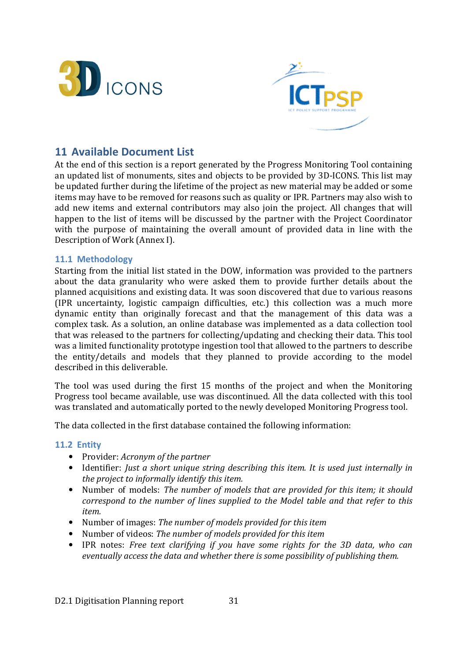



## 11 Available Document List

At the end of this section is a report generated by the Progress Monitoring Tool containing an updated list of monuments, sites and objects to be provided by 3D-ICONS. This list may be updated further during the lifetime of the project as new material may be added or some items may have to be removed for reasons such as quality or IPR. Partners may also wish to add new items and external contributors may also join the project. All changes that will happen to the list of items will be discussed by the partner with the Project Coordinator with the purpose of maintaining the overall amount of provided data in line with the Description of Work (Annex I).

#### 11.1 Methodology

Starting from the initial list stated in the DOW, information was provided to the partners about the data granularity who were asked them to provide further details about the planned acquisitions and existing data. It was soon discovered that due to various reasons (IPR uncertainty, logistic campaign difficulties, etc.) this collection was a much more dynamic entity than originally forecast and that the management of this data was a complex task. As a solution, an online database was implemented as a data collection tool that was released to the partners for collecting/updating and checking their data. This tool was a limited functionality prototype ingestion tool that allowed to the partners to describe the entity/details and models that they planned to provide according to the model described in this deliverable.

The tool was used during the first 15 months of the project and when the Monitoring Progress tool became available, use was discontinued. All the data collected with this tool was translated and automatically ported to the newly developed Monitoring Progress tool.

The data collected in the first database contained the following information:

#### 11.2 Entity

- Provider: Acronym of the partner
- Identifier: Just a short unique string describing this item. It is used just internally in the project to informally identify this item.
- Number of models: The number of models that are provided for this item; it should correspond to the number of lines supplied to the Model table and that refer to this item.
- Number of images: The number of models provided for this item
- Number of videos: The number of models provided for this item
- IPR notes: Free text clarifying if you have some rights for the 3D data, who can eventually access the data and whether there is some possibility of publishing them.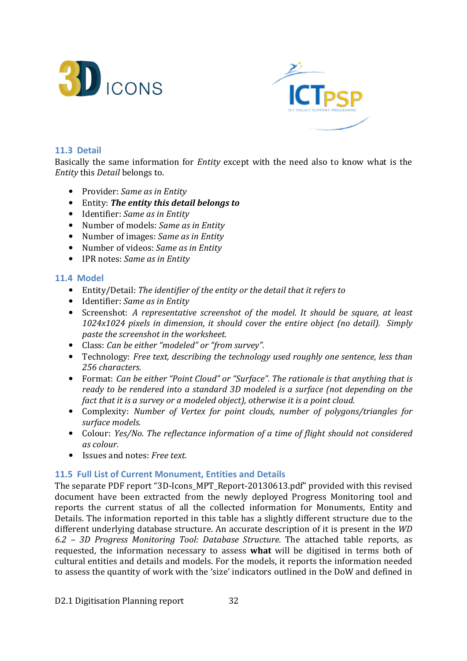



#### 11.3 Detail

Basically the same information for Entity except with the need also to know what is the Entity this Detail belongs to.

- Provider: Same as in Entity
- Entity: The entity this detail belongs to
- Identifier: Same as in Entity
- Number of models: Same as in Entity
- Number of images: Same as in Entity
- Number of videos: Same as in Entity
- IPR notes: Same as in Entity

#### 11.4 Model

- Entity/Detail: The identifier of the entity or the detail that it refers to
- Identifier: Same as in Entity
- Screenshot: A representative screenshot of the model. It should be square, at least 1024x1024 pixels in dimension, it should cover the entire object (no detail). Simply paste the screenshot in the worksheet.
- Class: Can be either "modeled" or "from survey".
- Technology: Free text, describing the technology used roughly one sentence, less than 256 characters.
- Format: Can be either "Point Cloud" or "Surface". The rationale is that anything that is ready to be rendered into a standard 3D modeled is a surface (not depending on the fact that it is a survey or a modeled object), otherwise it is a point cloud.
- Complexity: Number of Vertex for point clouds, number of polygons/triangles for surface models.
- Colour: Yes/No. The reflectance information of a time of flight should not considered as colour.
- Issues and notes: Free text.

#### 11.5 Full List of Current Monument, Entities and Details

The separate PDF report "3D-Icons\_MPT\_Report-20130613.pdf" provided with this revised document have been extracted from the newly deployed Progress Monitoring tool and reports the current status of all the collected information for Monuments, Entity and Details. The information reported in this table has a slightly different structure due to the different underlying database structure. An accurate description of it is present in the WD 6.2 – 3D Progress Monitoring Tool: Database Structure. The attached table reports, as requested, the information necessary to assess what will be digitised in terms both of cultural entities and details and models. For the models, it reports the information needed to assess the quantity of work with the 'size' indicators outlined in the DoW and defined in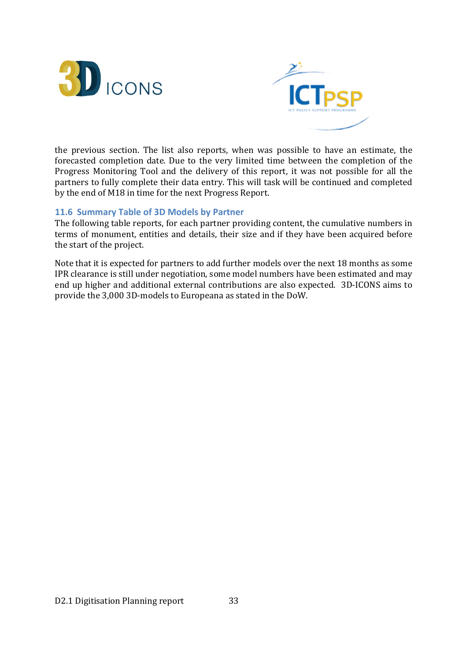



the previous section. The list also reports, when was possible to have an estimate, the forecasted completion date. Due to the very limited time between the completion of the Progress Monitoring Tool and the delivery of this report, it was not possible for all the partners to fully complete their data entry. This will task will be continued and completed by the end of M18 in time for the next Progress Report.

#### 11.6 Summary Table of 3D Models by Partner

The following table reports, for each partner providing content, the cumulative numbers in terms of monument, entities and details, their size and if they have been acquired before the start of the project.

Note that it is expected for partners to add further models over the next 18 months as some IPR clearance is still under negotiation, some model numbers have been estimated and may end up higher and additional external contributions are also expected. 3D-ICONS aims to provide the 3,000 3D-models to Europeana as stated in the DoW.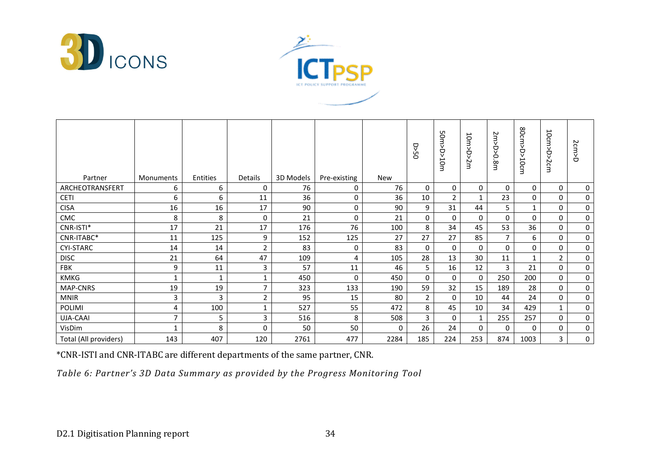



| Partner               | Monuments    | Entities     | Details        | 3D Models | Pre-existing | New  | <b>DS&lt;0</b> | 50m>D>10mm     | ⊢<br>om><br>Ó<br>Šm | $\sim$<br>₹<br>Â<br>0.<br>$\infty$<br>З | 80cm>D>10cm  | 10cm>D><br>Scm | 2cm>D       |
|-----------------------|--------------|--------------|----------------|-----------|--------------|------|----------------|----------------|---------------------|-----------------------------------------|--------------|----------------|-------------|
| ARCHEOTRANSFERT       | 6            | 6            | 0              | 76        | 0            | 76   | $\mathbf 0$    | 0              | 0                   | $\Omega$                                | 0            | 0              | 0           |
| <b>CETI</b>           | 6            | 6            | 11             | 36        | 0            | 36   | 10             | $\overline{2}$ | 1                   | 23                                      | $\mathbf 0$  | 0              | $\mathbf 0$ |
| <b>CISA</b>           | 16           | 16           | 17             | 90        | 0            | 90   | 9              | 31             | 44                  | 5                                       | $\mathbf{1}$ | 0              | $\mathbf 0$ |
| CMC                   | 8            | 8            | $\Omega$       | 21        | 0            | 21   | $\Omega$       | 0              | $\Omega$            | $\Omega$                                | $\mathbf 0$  | $\mathbf 0$    | 0           |
| CNR-ISTI*             | 17           | 21           | 17             | 176       | 76           | 100  | 8              | 34             | 45                  | 53                                      | 36           | 0              | $\mathbf 0$ |
| CNR-ITABC*            | 11           | 125          | 9              | 152       | 125          | 27   | 27             | 27             | 85                  | $\overline{7}$                          | 6            | 0              | 0           |
| <b>CYI-STARC</b>      | 14           | 14           | $\overline{2}$ | 83        | 0            | 83   | $\mathbf 0$    | $\Omega$       | $\Omega$            | $\Omega$                                | $\mathbf 0$  | 0              | $\mathbf 0$ |
| <b>DISC</b>           | 21           | 64           | 47             | 109       | 4            | 105  | 28             | 13             | 30                  | 11                                      | $\mathbf{1}$ | $\overline{2}$ | $\mathbf 0$ |
| FBK                   | 9            | 11           | 3              | 57        | 11           | 46   | 5              | 16             | 12                  | 3                                       | 21           | 0              | 0           |
| <b>KMKG</b>           | $\mathbf{1}$ | $\mathbf{1}$ |                | 450       | 0            | 450  | $\mathbf 0$    | 0              | $\mathbf 0$         | 250                                     | 200          | $\mathbf 0$    | 0           |
| <b>MAP-CNRS</b>       | 19           | 19           | 7              | 323       | 133          | 190  | 59             | 32             | 15                  | 189                                     | 28           | $\mathbf 0$    | $\mathbf 0$ |
| <b>MNIR</b>           | 3            | 3            | $\overline{2}$ | 95        | 15           | 80   | $\overline{2}$ | 0              | 10                  | 44                                      | 24           | 0              | $\mathbf 0$ |
| POLIMI                | 4            | 100          | 1              | 527       | 55           | 472  | 8              | 45             | 10                  | 34                                      | 429          | $\mathbf{1}$   | $\mathbf 0$ |
| UJA-CAAI              | 7            | 5            | 3              | 516       | 8            | 508  | 3              | $\Omega$       | $\mathbf{1}$        | 255                                     | 257          | $\mathbf 0$    | $\mathbf 0$ |
| VisDim                | $\mathbf{1}$ | 8            | $\mathbf{0}$   | 50        | 50           | 0    | 26             | 24             | $\Omega$            | $\Omega$                                | $\mathbf 0$  | 0              | 0           |
| Total (All providers) | 143          | 407          | 120            | 2761      | 477          | 2284 | 185            | 224            | 253                 | 874                                     | 1003         | 3              | 0           |

\*CNR-ISTI and CNR-ITABC are different departments of the same partner, CNR.

Table 6: Partner's 3D Data Summary as provided by the Progress Monitoring Tool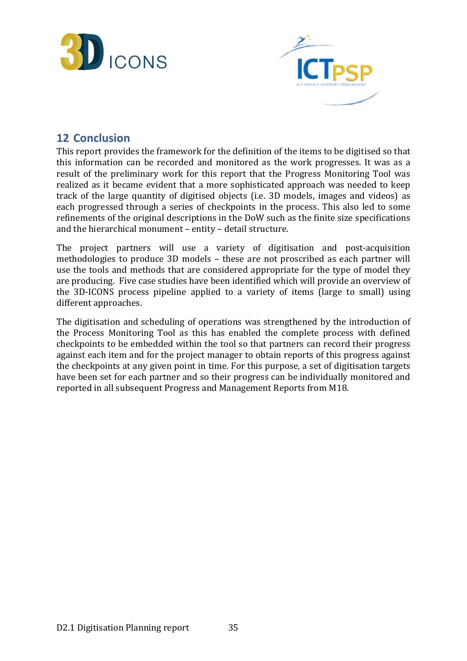



## 12 Conclusion

This report provides the framework for the definition of the items to be digitised so that this information can be recorded and monitored as the work progresses. It was as a result of the preliminary work for this report that the Progress Monitoring Tool was realized as it became evident that a more sophisticated approach was needed to keep track of the large quantity of digitised objects (i.e. 3D models, images and videos) as each progressed through a series of checkpoints in the process. This also led to some refinements of the original descriptions in the DoW such as the finite size specifications and the hierarchical monument – entity – detail structure.

The project partners will use a variety of digitisation and post-acquisition methodologies to produce 3D models – these are not proscribed as each partner will use the tools and methods that are considered appropriate for the type of model they are producing. Five case studies have been identified which will provide an overview of the 3D-ICONS process pipeline applied to a variety of items (large to small) using different approaches.

The digitisation and scheduling of operations was strengthened by the introduction of the Process Monitoring Tool as this has enabled the complete process with defined checkpoints to be embedded within the tool so that partners can record their progress against each item and for the project manager to obtain reports of this progress against the checkpoints at any given point in time. For this purpose, a set of digitisation targets have been set for each partner and so their progress can be individually monitored and reported in all subsequent Progress and Management Reports from M18.